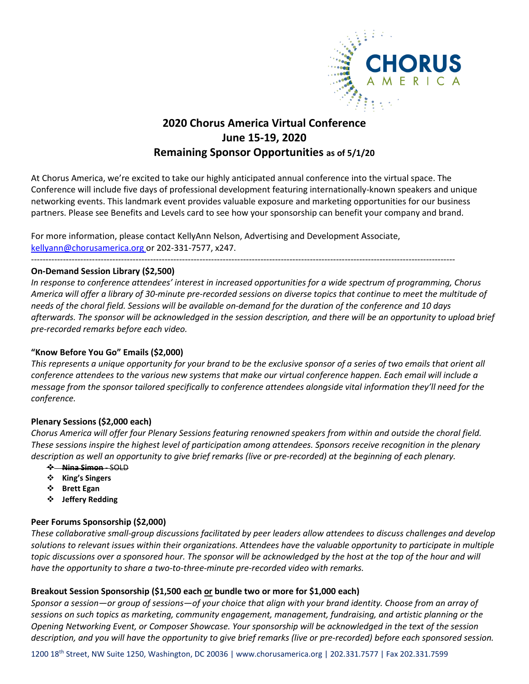

# **2020 Chorus America Virtual Conference June 15-19, 2020 Remaining Sponsor Opportunities as of 5/1/20**

At Chorus America, we're excited to take our highly anticipated annual conference into the virtual space. The Conference will include five days of professional development featuring internationally-known speakers and unique networking events. This landmark event provides valuable exposure and marketing opportunities for our business partners. Please see Benefits and Levels card to see how your sponsorship can benefit your company and brand.

For more information, please contact KellyAnn Nelson, Advertising and Development Associate, [kellyann@chorusamerica.org](mailto:kellyann@chorusamerica.org) or 202-331-7577, x247.

--------------------------------------------------------------------------------------------------------------------------------------------------

## **On-Demand Session Library (\$2,500)**

*In response to conference attendees' interest in increased opportunities for a wide spectrum of programming, Chorus America will offer a library of 30-minute pre-recorded sessions on diverse topics that continue to meet the multitude of needs of the choral field. Sessions will be available on-demand for the duration of the conference and 10 days afterwards. The sponsor will be acknowledged in the session description, and there will be an opportunity to upload brief pre-recorded remarks before each video.*

# **"Know Before You Go" Emails (\$2,000)**

*This represents a unique opportunity for your brand to be the exclusive sponsor of a series of two emails that orient all conference attendees to the various new systems that make our virtual conference happen. Each email will include a message from the sponsor tailored specifically to conference attendees alongside vital information they'll need for the conference.*

## **Plenary Sessions (\$2,000 each)**

*Chorus America will offer four Plenary Sessions featuring renowned speakers from within and outside the choral field. These sessions inspire the highest level of participation among attendees. Sponsors receive recognition in the plenary description as well an opportunity to give brief remarks (live or pre-recorded) at the beginning of each plenary.* 

- **Nina Simon** SOLD
- **King's Singers**
- **Brett Egan**
- **Jeffery Redding**

## **Peer Forums Sponsorship (\$2,000)**

*These collaborative small-group discussions facilitated by peer leaders allow attendees to discuss challenges and develop solutions to relevant issues within their organizations. Attendees have the valuable opportunity to participate in multiple topic discussions over a sponsored hour. The sponsor will be acknowledged by the host at the top of the hour and will have the opportunity to share a two-to-three-minute pre-recorded video with remarks.*

## **Breakout Session Sponsorship (\$1,500 each or bundle two or more for \$1,000 each)**

*Sponsor a session—or group of sessions—of your choice that align with your brand identity. Choose from an array of sessions on such topics as marketing, community engagement, management, fundraising, and artistic planning or the Opening Networking Event, or Composer Showcase. Your sponsorship will be acknowledged in the text of the session description, and you will have the opportunity to give brief remarks (live or pre-recorded) before each sponsored session.* 

1200 18th Street, NW Suite 1250, Washington, DC 20036 | www.chorusamerica.org | 202.331.7577 | Fax 202.331.7599